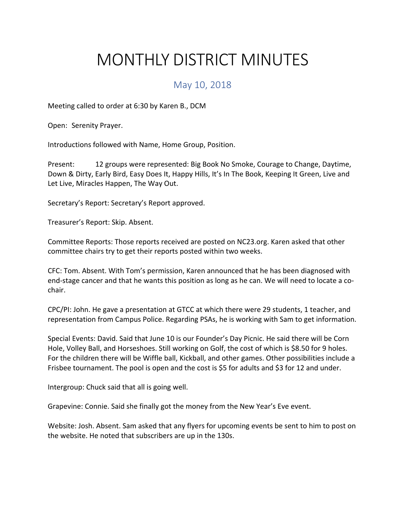## MONTHLY DISTRICT MINUTES

## May 10, 2018

Meeting called to order at 6:30 by Karen B., DCM

Open: Serenity Prayer.

Introductions followed with Name, Home Group, Position.

Present: 12 groups were represented: Big Book No Smoke, Courage to Change, Daytime, Down & Dirty, Early Bird, Easy Does It, Happy Hills, It's In The Book, Keeping It Green, Live and Let Live, Miracles Happen, The Way Out.

Secretary's Report: Secretary's Report approved.

Treasurer's Report: Skip. Absent.

Committee Reports: Those reports received are posted on NC23.org. Karen asked that other committee chairs try to get their reports posted within two weeks.

CFC: Tom. Absent. With Tom's permission, Karen announced that he has been diagnosed with end-stage cancer and that he wants this position as long as he can. We will need to locate a cochair.

CPC/PI: John. He gave a presentation at GTCC at which there were 29 students, 1 teacher, and representation from Campus Police. Regarding PSAs, he is working with Sam to get information.

Special Events: David. Said that June 10 is our Founder's Day Picnic. He said there will be Corn Hole, Volley Ball, and Horseshoes. Still working on Golf, the cost of which is \$8.50 for 9 holes. For the children there will be Wiffle ball, Kickball, and other games. Other possibilities include a Frisbee tournament. The pool is open and the cost is \$5 for adults and \$3 for 12 and under.

Intergroup: Chuck said that all is going well.

Grapevine: Connie. Said she finally got the money from the New Year's Eve event.

Website: Josh. Absent. Sam asked that any flyers for upcoming events be sent to him to post on the website. He noted that subscribers are up in the 130s.